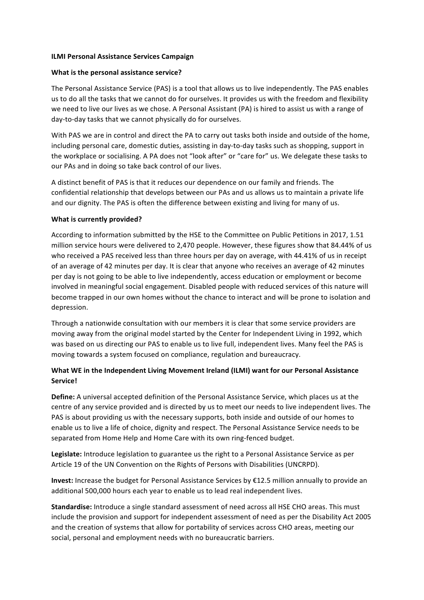## **ILMI Personal Assistance Services Campaign**

## **What is the personal assistance service?**

The Personal Assistance Service (PAS) is a tool that allows us to live independently. The PAS enables us to do all the tasks that we cannot do for ourselves. It provides us with the freedom and flexibility we need to live our lives as we chose. A Personal Assistant (PA) is hired to assist us with a range of day-to-day tasks that we cannot physically do for ourselves.

With PAS we are in control and direct the PA to carry out tasks both inside and outside of the home, including personal care, domestic duties, assisting in day-to-day tasks such as shopping, support in the workplace or socialising. A PA does not "look after" or "care for" us. We delegate these tasks to our PAs and in doing so take back control of our lives.

A distinct benefit of PAS is that it reduces our dependence on our family and friends. The confidential relationship that develops between our PAs and us allows us to maintain a private life and our dignity. The PAS is often the difference between existing and living for many of us.

## **What is currently provided?**

According to information submitted by the HSE to the Committee on Public Petitions in 2017, 1.51 million service hours were delivered to 2,470 people. However, these figures show that 84.44% of us who received a PAS received less than three hours per day on average, with 44.41% of us in receipt of an average of 42 minutes per day. It is clear that anyone who receives an average of 42 minutes per day is not going to be able to live independently, access education or employment or become involved in meaningful social engagement. Disabled people with reduced services of this nature will become trapped in our own homes without the chance to interact and will be prone to isolation and depression.

Through a nationwide consultation with our members it is clear that some service providers are moving away from the original model started by the Center for Independent Living in 1992, which was based on us directing our PAS to enable us to live full, independent lives. Many feel the PAS is moving towards a system focused on compliance, regulation and bureaucracy.

## **What WE in the Independent Living Movement Ireland (ILMI) want for our Personal Assistance Service!**

**Define:** A universal accepted definition of the Personal Assistance Service, which places us at the centre of any service provided and is directed by us to meet our needs to live independent lives. The PAS is about providing us with the necessary supports, both inside and outside of our homes to enable us to live a life of choice, dignity and respect. The Personal Assistance Service needs to be separated from Home Help and Home Care with its own ring-fenced budget.

Legislate: Introduce legislation to guarantee us the right to a Personal Assistance Service as per Article 19 of the UN Convention on the Rights of Persons with Disabilities (UNCRPD).

**Invest:** Increase the budget for Personal Assistance Services by €12.5 million annually to provide an additional 500,000 hours each year to enable us to lead real independent lives.

**Standardise:** Introduce a single standard assessment of need across all HSE CHO areas. This must include the provision and support for independent assessment of need as per the Disability Act 2005 and the creation of systems that allow for portability of services across CHO areas, meeting our social, personal and employment needs with no bureaucratic barriers.